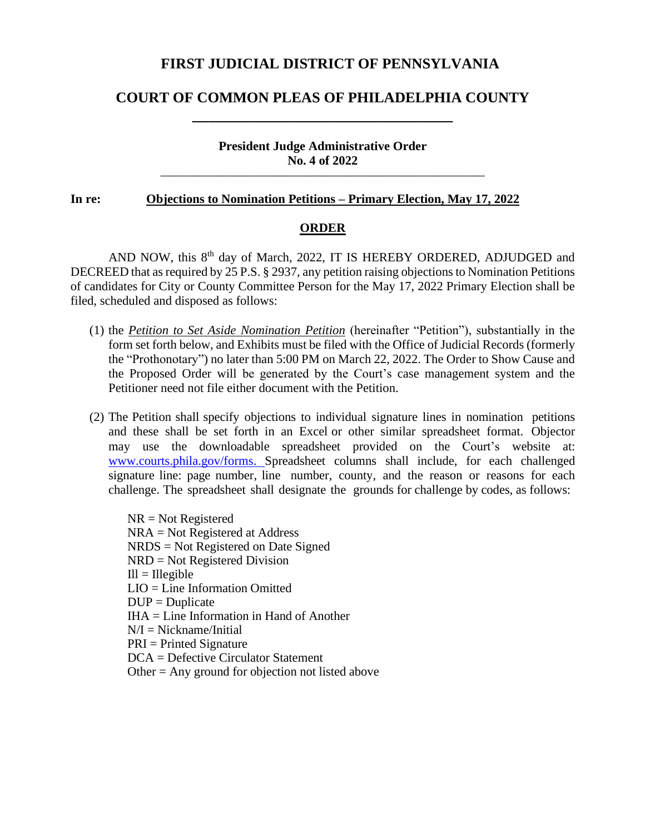### **FIRST JUDICIAL DISTRICT OF PENNSYLVANIA**

# **COURT OF COMMON PLEAS OF PHILADELPHIA COUNTY \_\_\_\_\_\_\_\_\_\_\_\_\_\_\_\_\_\_\_\_\_\_\_\_\_\_\_\_\_\_\_\_\_**

#### **President Judge Administrative Order No. 4 of 2022 \_\_\_\_\_\_\_\_\_\_\_\_\_\_\_\_\_\_\_\_\_\_\_\_\_\_\_\_\_\_\_\_\_\_\_\_\_\_\_\_\_\_\_\_\_\_\_\_\_\_\_\_\_\_\_\_\_\_\_\_\_\_\_\_\_\_\_\_\_\_\_\_\_\_\_\_\_**

#### **In re: Objections to Nomination Petitions – Primary Election, May 17, 2022**

#### **ORDER**

AND NOW, this 8<sup>th</sup> day of March, 2022, IT IS HEREBY ORDERED, ADJUDGED and DECREED that as required by 25 P.S. § 2937, any petition raising objections to Nomination Petitions of candidates for City or County Committee Person for the May 17, 2022 Primary Election shall be filed, scheduled and disposed as follows:

- (1) the *Petition to Set Aside Nomination Petition* (hereinafter "Petition"), substantially in the form set forth below, and Exhibits must be filed with the Office of Judicial Records (formerly the "Prothonotary") no later than 5:00 PM on March 22, 2022. The Order to Show Cause and the Proposed Order will be generated by the Court's case management system and the Petitioner need not file either document with the Petition.
- (2) The Petition shall specify objections to individual signature lines in nomination petitions and these shall be set forth in an Excel or other similar spreadsheet format. Objector may use the downloadable spreadsheet provided on the Court's website at: [www.courts.phila.gov/forms.](http://www.courts.phila.gov/forms) Spreadsheet columns shall include, for each challenged signature line: page number, line number, county, and the reason or reasons for each challenge. The spreadsheet shall designate the grounds for challenge by codes, as follows:

NR = Not Registered NRA = Not Registered at Address NRDS = Not Registered on Date Signed NRD = Not Registered Division  $III = II$ legible LIO = Line Information Omitted  $DUP = Duplicate$ IHA = Line Information in Hand of Another  $N/I = Nickname/Initial$ PRI = Printed Signature DCA = Defective Circulator Statement Other = Any ground for objection not listed above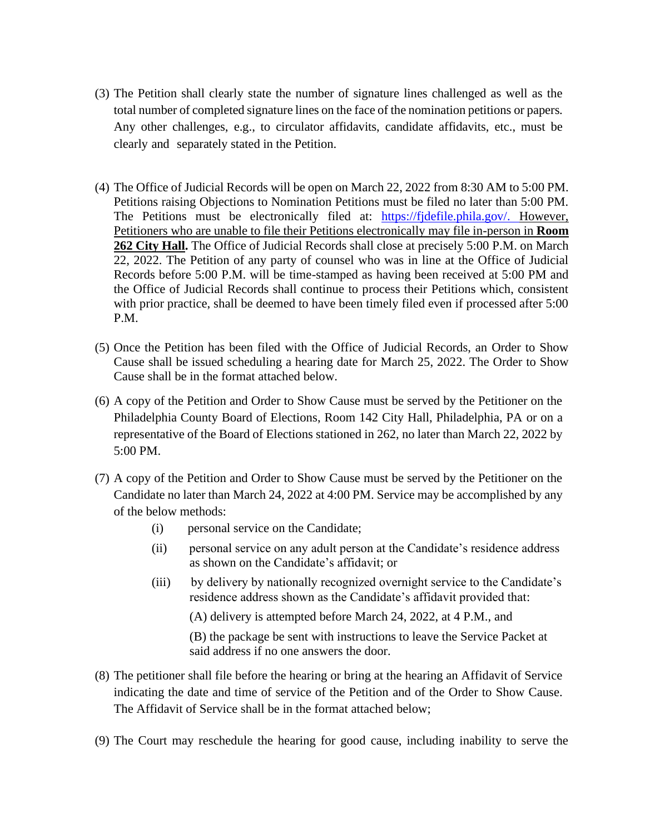- (3) The Petition shall clearly state the number of signature lines challenged as well as the total number of completed signature lines on the face of the nomination petitions or papers. Any other challenges, e.g., to circulator affidavits, candidate affidavits, etc., must be clearly and separately stated in the Petition.
- (4) The Office of Judicial Records will be open on March 22, 2022 from 8:30 AM to 5:00 PM. Petitions raising Objections to Nomination Petitions must be filed no later than 5:00 PM. The Petitions must be electronically filed at: [https://fjdefile.phila.gov/.](https://fjdefile.phila.gov/) However, Petitioners who are unable to file their Petitions electronically may file in-person in **Room**  262 City Hall. The Office of Judicial Records shall close at precisely 5:00 P.M. on March 22, 2022. The Petition of any party of counsel who was in line at the Office of Judicial Records before 5:00 P.M. will be time-stamped as having been received at 5:00 PM and the Office of Judicial Records shall continue to process their Petitions which, consistent with prior practice, shall be deemed to have been timely filed even if processed after 5:00 P.M.
- (5) Once the Petition has been filed with the Office of Judicial Records, an Order to Show Cause shall be issued scheduling a hearing date for March 25, 2022. The Order to Show Cause shall be in the format attached below.
- (6) A copy of the Petition and Order to Show Cause must be served by the Petitioner on the Philadelphia County Board of Elections, Room 142 City Hall, Philadelphia, PA or on a representative of the Board of Elections stationed in 262, no later than March 22, 2022 by 5:00 PM.
- (7) A copy of the Petition and Order to Show Cause must be served by the Petitioner on the Candidate no later than March 24, 2022 at 4:00 PM. Service may be accomplished by any of the below methods:
	- (i) personal service on the Candidate;
	- (ii) personal service on any adult person at the Candidate's residence address as shown on the Candidate's affidavit; or
	- (iii) by delivery by nationally recognized overnight service to the Candidate's residence address shown as the Candidate's affidavit provided that:

(A) delivery is attempted before March 24, 2022, at 4 P.M., and

(B) the package be sent with instructions to leave the Service Packet at said address if no one answers the door.

- (8) The petitioner shall file before the hearing or bring at the hearing an Affidavit of Service indicating the date and time of service of the Petition and of the Order to Show Cause. The Affidavit of Service shall be in the format attached below;
- (9) The Court may reschedule the hearing for good cause, including inability to serve the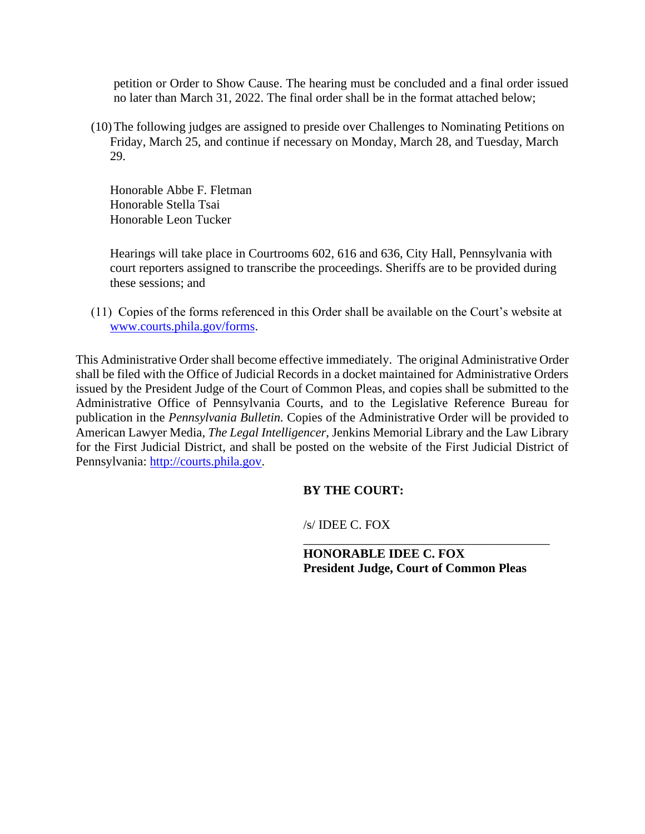petition or Order to Show Cause. The hearing must be concluded and a final order issued no later than March 31, 2022. The final order shall be in the format attached below;

(10)The following judges are assigned to preside over Challenges to Nominating Petitions on Friday, March 25, and continue if necessary on Monday, March 28, and Tuesday, March 29.

Honorable Abbe F. Fletman Honorable Stella Tsai Honorable Leon Tucker

Hearings will take place in Courtrooms 602, 616 and 636, City Hall, Pennsylvania with court reporters assigned to transcribe the proceedings. Sheriffs are to be provided during these sessions; and

(11) Copies of the forms referenced in this Order shall be available on the Court's website at [www.courts.phila.gov/forms.](http://www.courts.phila.gov/forms)

This Administrative Order shall become effective immediately. The original Administrative Order shall be filed with the Office of Judicial Records in a docket maintained for Administrative Orders issued by the President Judge of the Court of Common Pleas, and copies shall be submitted to the Administrative Office of Pennsylvania Courts, and to the Legislative Reference Bureau for publication in the *Pennsylvania Bulletin.* Copies of the Administrative Order will be provided to American Lawyer Media, *The Legal Intelligencer*, Jenkins Memorial Library and the Law Library for the First Judicial District, and shall be posted on the website of the First Judicial District of Pennsylvania: [http://courts.phila.gov.](http://courts.phila.gov/)

#### **BY THE COURT:**

/s/ IDEE C. FOX

**HONORABLE IDEE C. FOX President Judge, Court of Common Pleas**

\_\_\_\_\_\_\_\_\_\_\_\_\_\_\_\_\_\_\_\_\_\_\_\_\_\_\_\_\_\_\_\_\_\_\_\_\_\_\_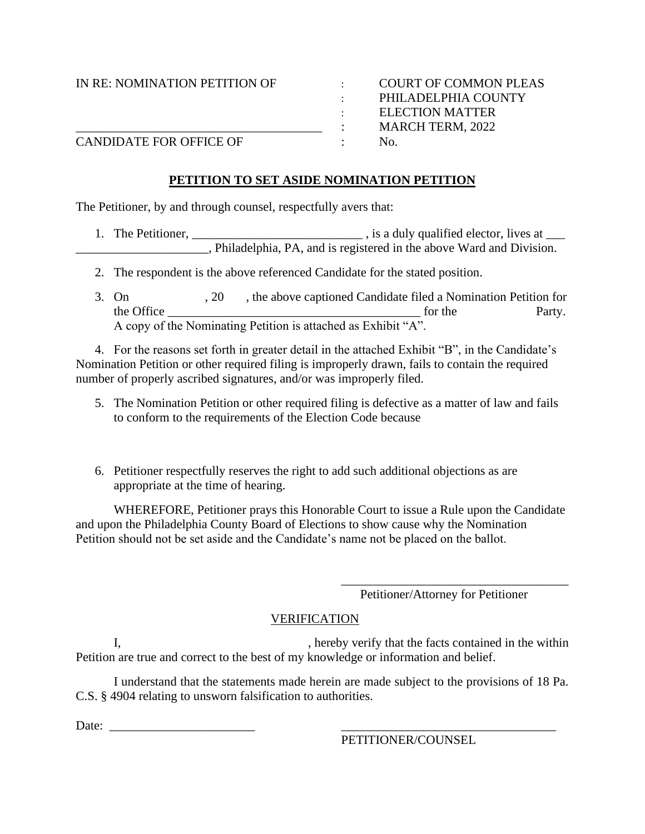IN RE: NOMINATION PETITION OF : COURT OF COMMON PLEAS

: PHILADELPHIA COUNTY : ELECTION MATTER \_\_\_\_\_\_\_\_\_\_\_\_\_\_\_\_\_\_\_\_\_\_\_\_\_\_\_\_\_\_\_\_\_\_\_\_\_\_\_ : MARCH TERM, 2022

CANDIDATE FOR OFFICE OF : No.

#### **PETITION TO SET ASIDE NOMINATION PETITION**

The Petitioner, by and through counsel, respectfully avers that:

- 1. The Petitioner, \_\_\_\_\_\_\_\_\_\_\_\_\_\_\_\_\_\_\_\_\_\_\_\_\_\_\_\_\_\_\_, is a duly qualified elector, lives at \_\_\_\_ **EXECUTE:** Philadelphia, PA, and is registered in the above Ward and Division.
	- 2. The respondent is the above referenced Candidate for the stated position.
	- 3. On , 20, the above captioned Candidate filed a Nomination Petition for the Office The Party. A copy of the Nominating Petition is attached as Exhibit "A".

4. For the reasons set forth in greater detail in the attached Exhibit "B", in the Candidate's Nomination Petition or other required filing is improperly drawn, fails to contain the required number of properly ascribed signatures, and/or was improperly filed.

- 5. The Nomination Petition or other required filing is defective as a matter of law and fails to conform to the requirements of the Election Code because
- 6. Petitioner respectfully reserves the right to add such additional objections as are appropriate at the time of hearing.

WHEREFORE, Petitioner prays this Honorable Court to issue a Rule upon the Candidate and upon the Philadelphia County Board of Elections to show cause why the Nomination Petition should not be set aside and the Candidate's name not be placed on the ballot.

Petitioner/Attorney for Petitioner

\_\_\_\_\_\_\_\_\_\_\_\_\_\_\_\_\_\_\_\_\_\_\_\_\_\_\_\_\_\_\_\_\_\_\_\_

### VERIFICATION

I, hereby verify that the facts contained in the within Petition are true and correct to the best of my knowledge or information and belief.

I understand that the statements made herein are made subject to the provisions of 18 Pa. C.S. § 4904 relating to unsworn falsification to authorities.

Date: \_\_\_\_\_\_\_\_\_\_\_\_\_\_\_\_\_\_\_\_\_\_\_ \_\_\_\_\_\_\_\_\_\_\_\_\_\_\_\_\_\_\_\_\_\_\_\_\_\_\_\_\_\_\_\_\_\_

PETITIONER/COUNSEL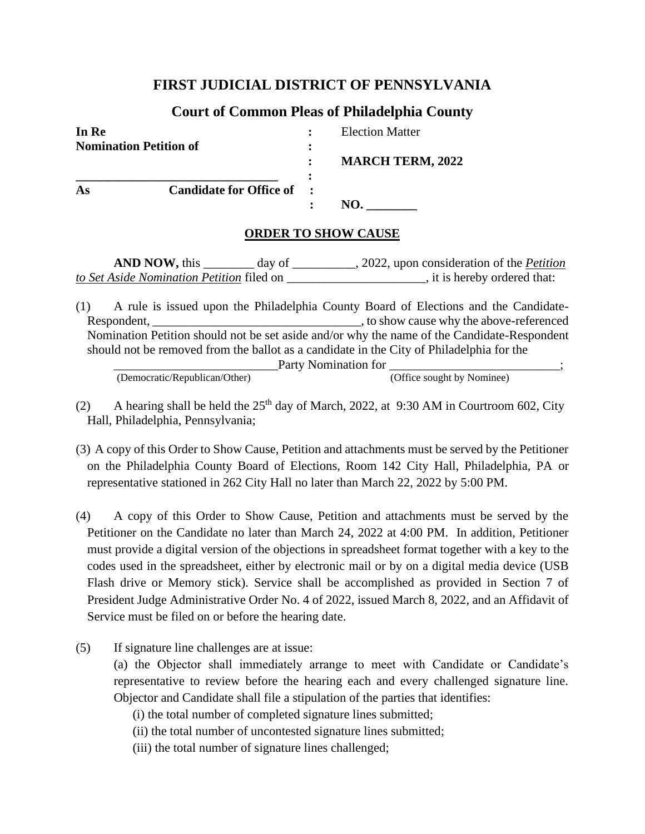## **FIRST JUDICIAL DISTRICT OF PENNSYLVANIA**

## **Court of Common Pleas of Philadelphia County**

| In Re                         |                           | <b>Election Matter</b>  |  |
|-------------------------------|---------------------------|-------------------------|--|
| <b>Nomination Petition of</b> |                           |                         |  |
|                               |                           | <b>MARCH TERM, 2022</b> |  |
| As                            | Candidate for Office of : |                         |  |
|                               |                           |                         |  |

### **ORDER TO SHOW CAUSE**

**AND NOW,** this day of  $\qquad \qquad$ , 2022, upon consideration of the *Petition to Set Aside Nomination Petition* filed on \_\_\_\_\_\_\_\_\_\_\_\_\_\_\_\_\_\_\_\_\_, it is hereby ordered that:

(1) A rule is issued upon the Philadelphia County Board of Elections and the Candidate-Respondent, **Example 2.** The state of the show cause why the above-referenced Nomination Petition should not be set aside and/or why the name of the Candidate-Respondent should not be removed from the ballot as a candidate in the City of Philadelphia for the Party Nomination for \_\_\_\_\_\_\_\_\_\_\_\_\_\_\_\_\_\_\_\_\_\_\_\_;

(Democratic/Republican/Other) (Office sought by Nominee)

(2) A hearing shall be held the  $25<sup>th</sup>$  day of March, 2022, at 9:30 AM in Courtroom 602, City Hall, Philadelphia, Pennsylvania;

- (3) A copy of this Order to Show Cause, Petition and attachments must be served by the Petitioner on the Philadelphia County Board of Elections, Room 142 City Hall, Philadelphia, PA or representative stationed in 262 City Hall no later than March 22, 2022 by 5:00 PM.
- (4) A copy of this Order to Show Cause, Petition and attachments must be served by the Petitioner on the Candidate no later than March 24, 2022 at 4:00 PM. In addition, Petitioner must provide a digital version of the objections in spreadsheet format together with a key to the codes used in the spreadsheet, either by electronic mail or by on a digital media device (USB Flash drive or Memory stick). Service shall be accomplished as provided in Section 7 of President Judge Administrative Order No. 4 of 2022, issued March 8, 2022, and an Affidavit of Service must be filed on or before the hearing date.
- (5) If signature line challenges are at issue:

(a) the Objector shall immediately arrange to meet with Candidate or Candidate's representative to review before the hearing each and every challenged signature line. Objector and Candidate shall file a stipulation of the parties that identifies:

- (i) the total number of completed signature lines submitted;
- (ii) the total number of uncontested signature lines submitted;
- (iii) the total number of signature lines challenged;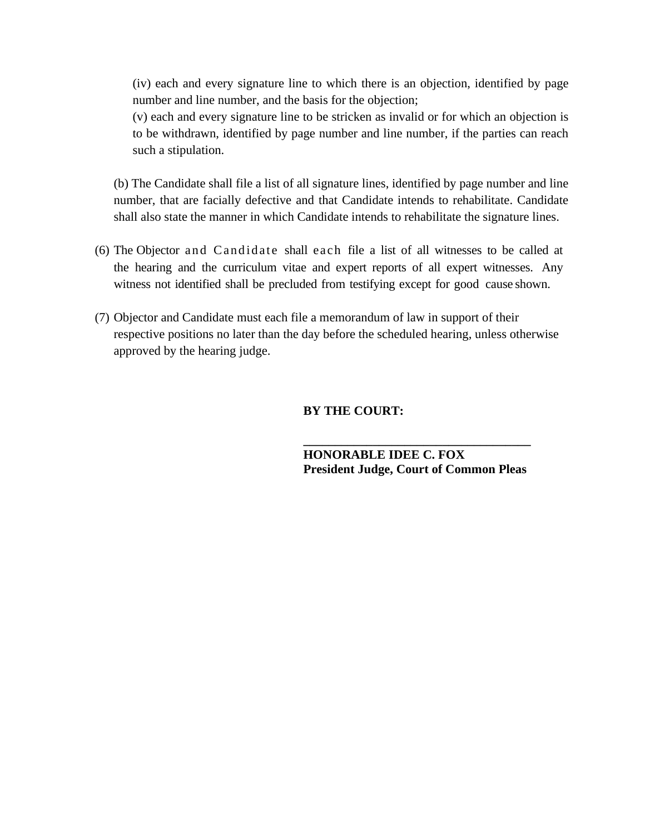(iv) each and every signature line to which there is an objection, identified by page number and line number, and the basis for the objection;

(v) each and every signature line to be stricken as invalid or for which an objection is to be withdrawn, identified by page number and line number, if the parties can reach such a stipulation.

(b) The Candidate shall file a list of all signature lines, identified by page number and line number, that are facially defective and that Candidate intends to rehabilitate. Candidate shall also state the manner in which Candidate intends to rehabilitate the signature lines.

- (6) The Objector and Candidate shall each file a list of all witnesses to be called at the hearing and the curriculum vitae and expert reports of all expert witnesses. Any witness not identified shall be precluded from testifying except for good cause shown.
- (7) Objector and Candidate must each file a memorandum of law in support of their respective positions no later than the day before the scheduled hearing, unless otherwise approved by the hearing judge.

#### **BY THE COURT:**

**HONORABLE IDEE C. FOX President Judge, Court of Common Pleas** 

**\_\_\_\_\_\_\_\_\_\_\_\_\_\_\_\_\_\_\_\_\_\_\_\_\_\_\_\_\_\_\_\_\_\_\_\_**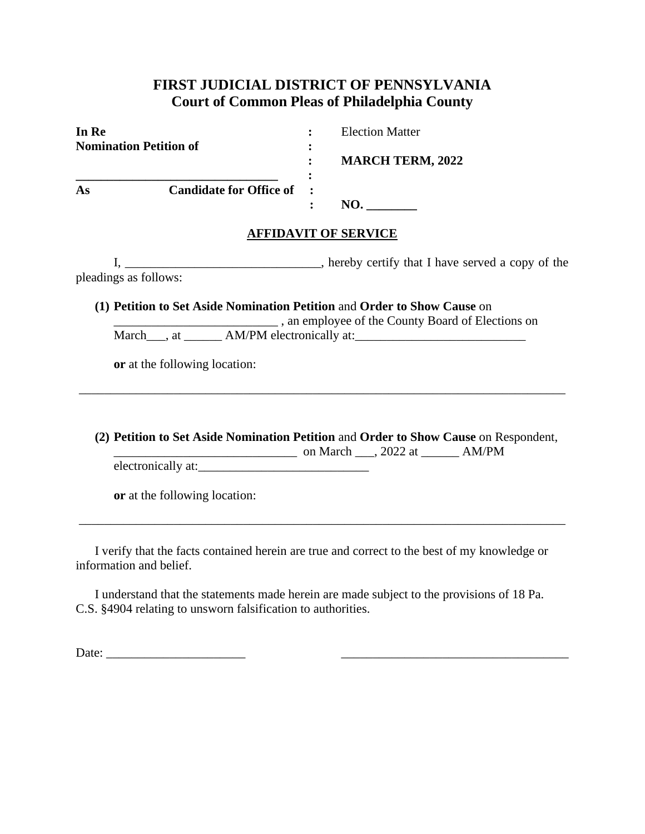## **FIRST JUDICIAL DISTRICT OF PENNSYLVANIA Court of Common Pleas of Philadelphia County**

| In Re                         |                           |                             | <b>Election Matter</b>  |
|-------------------------------|---------------------------|-----------------------------|-------------------------|
| <b>Nomination Petition of</b> |                           | ٠                           |                         |
|                               |                           | $\ddot{\cdot}$<br>$\bullet$ | <b>MARCH TERM, 2022</b> |
| As                            | Candidate for Office of : |                             |                         |
|                               |                           | $\ddot{\cdot}$              | NO.                     |

### **AFFIDAVIT OF SERVICE**

I, \_\_\_\_\_\_\_\_\_\_\_\_\_\_\_\_\_\_\_\_\_\_\_\_\_\_\_\_\_\_, hereby certify that I have served a copy of the pleadings as follows:

**(1) Petition to Set Aside Nomination Petition** and **Order to Show Cause** on \_\_\_\_\_\_\_\_\_\_\_\_\_\_\_\_\_\_\_\_\_\_\_\_\_\_ , an employee of the County Board of Elections on March\_\_\_, at \_\_\_\_\_\_\_ AM/PM electronically at:\_\_\_\_\_\_\_\_\_\_\_\_\_\_\_\_\_\_\_\_\_\_\_\_\_\_\_\_\_\_\_\_\_\_\_

**or** at the following location:

**(2) Petition to Set Aside Nomination Petition** and **Order to Show Cause** on Respondent, \_\_\_\_\_\_\_\_\_\_\_\_\_\_\_\_\_\_\_\_\_\_\_\_\_\_\_\_\_ on March \_\_\_, 2022 at \_\_\_\_\_\_ AM/PM

\_\_\_\_\_\_\_\_\_\_\_\_\_\_\_\_\_\_\_\_\_\_\_\_\_\_\_\_\_\_\_\_\_\_\_\_\_\_\_\_\_\_\_\_\_\_\_\_\_\_\_\_\_\_\_\_\_\_\_\_\_\_\_\_\_\_\_\_\_\_\_\_\_\_\_\_\_

electronically at:

**or** at the following location:

I verify that the facts contained herein are true and correct to the best of my knowledge or information and belief.

\_\_\_\_\_\_\_\_\_\_\_\_\_\_\_\_\_\_\_\_\_\_\_\_\_\_\_\_\_\_\_\_\_\_\_\_\_\_\_\_\_\_\_\_\_\_\_\_\_\_\_\_\_\_\_\_\_\_\_\_\_\_\_\_\_\_\_\_\_\_\_\_\_\_\_\_\_

I understand that the statements made herein are made subject to the provisions of 18 Pa. C.S. §4904 relating to unsworn falsification to authorities.

Date: \_\_\_\_\_\_\_\_\_\_\_\_\_\_\_\_\_\_\_\_\_\_ \_\_\_\_\_\_\_\_\_\_\_\_\_\_\_\_\_\_\_\_\_\_\_\_\_\_\_\_\_\_\_\_\_\_\_\_